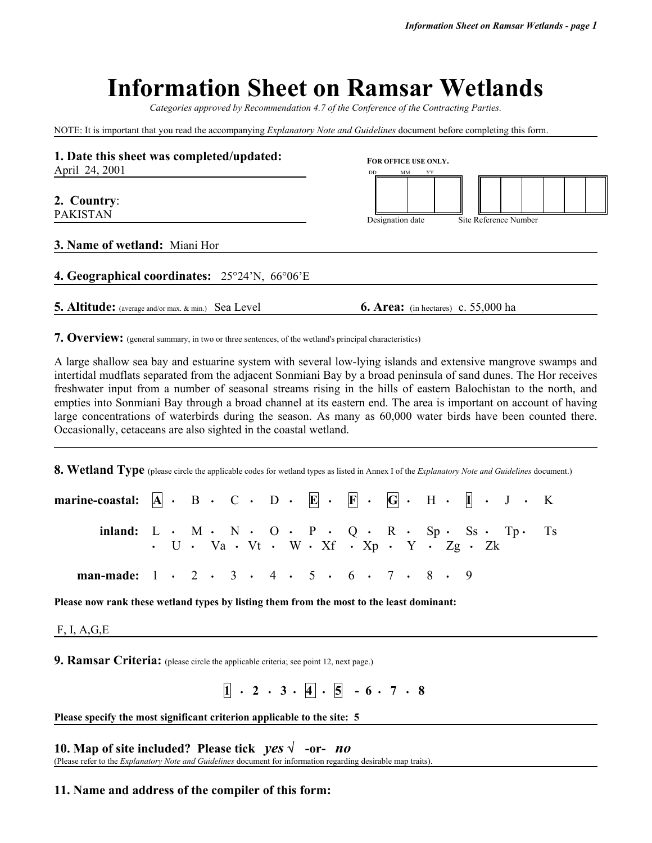# **Information Sheet on Ramsar Wetlands**

*Categories approved by Recommendation 4.7 of the Conference of the Contracting Parties.*

NOTE: It is important that you read the accompanying *Explanatory Note and Guidelines* document before completing this form.

| 1. Date this sheet was completed/updated:<br>April 24, 2001 | FOR OFFICE USE ONLY.                       |  |  |  |  |  |  |  |  |  |  |
|-------------------------------------------------------------|--------------------------------------------|--|--|--|--|--|--|--|--|--|--|
| 2. Country:<br><b>PAKISTAN</b>                              | MМ                                         |  |  |  |  |  |  |  |  |  |  |
| 3. Name of wetland: Miani Hor                               | Designation date<br>Site Reference Number  |  |  |  |  |  |  |  |  |  |  |
| 4. Geographical coordinates: 25°24'N, 66°06'E               |                                            |  |  |  |  |  |  |  |  |  |  |
| 5. Altitude: (average and/or max. & min.) Sea Level         | <b>6. Area:</b> (in hectares) c. 55,000 ha |  |  |  |  |  |  |  |  |  |  |

**7. Overview:** (general summary, in two or three sentences, of the wetland's principal characteristics)

A large shallow sea bay and estuarine system with several low-lying islands and extensive mangrove swamps and intertidal mudflats separated from the adjacent Sonmiani Bay by a broad peninsula of sand dunes. The Hor receives freshwater input from a number of seasonal streams rising in the hills of eastern Balochistan to the north, and empties into Sonmiani Bay through a broad channel at its eastern end. The area is important on account of having large concentrations of waterbirds during the season. As many as 60,000 water birds have been counted there. Occasionally, cetaceans are also sighted in the coastal wetland.

**8. Wetland Type** (please circle the applicable codes for wetland types as listed in Annex I of the *Explanatory Note and Guidelines* document.)

| marine-coastal: $ A  \cdot B \cdot C \cdot D \cdot E \cdot F \cdot G \cdot H \cdot I \cdot J \cdot K$ |  |  |  |  |                                                                                                 |  |  |  |  |
|-------------------------------------------------------------------------------------------------------|--|--|--|--|-------------------------------------------------------------------------------------------------|--|--|--|--|
| inland: $L \cdot M \cdot N \cdot O \cdot P \cdot Q \cdot R \cdot Sp \cdot S_5 \cdot T_p \cdot T_s$    |  |  |  |  | $\cdot$ U $\cdot$ Va $\cdot$ Vt $\cdot$ W $\cdot$ Xf $\cdot$ Xp $\cdot$ Y $\cdot$ Zg $\cdot$ Zk |  |  |  |  |
| man-made: $1 \cdot 2 \cdot 3 \cdot 4 \cdot 5 \cdot 6 \cdot 7 \cdot 8 \cdot 9$                         |  |  |  |  |                                                                                                 |  |  |  |  |

**Please now rank these wetland types by listing them from the most to the least dominant:** 

F, I, A,G,E

**9. Ramsar Criteria:** (please circle the applicable criteria; see point 12, next page.)

 $\boxed{1}$  · 2 · 3 · 4 · 5 · 6 · 7 · 8

**Please specify the most significant criterion applicable to the site: 5**

**10. Map of site included? Please tick** *yes* √ **-or-** *no* (Please refer to the *Explanatory Note and Guidelines* document for information regarding desirable map traits).

#### **11. Name and address of the compiler of this form:**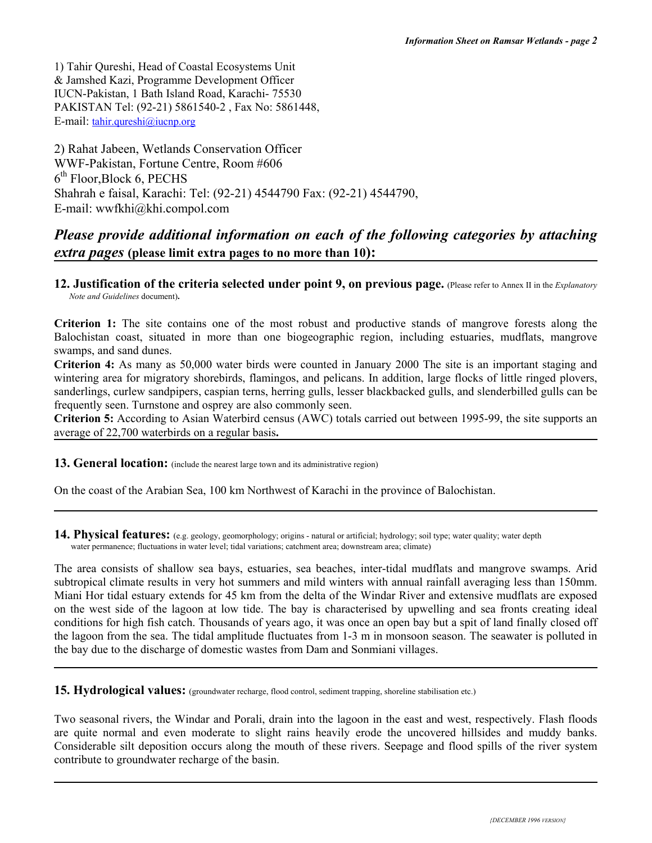1) Tahir Qureshi, Head of Coastal Ecosystems Unit & Jamshed Kazi, Programme Development Officer IUCN-Pakistan, 1 Bath Island Road, Karachi- 75530 PAKISTAN Tel: (92-21) 5861540-2 , Fax No: 5861448, E-mail: tahir.qureshi@iucnp.org

2) Rahat Jabeen, Wetlands Conservation Officer WWF-Pakistan, Fortune Centre, Room #606  $6<sup>th</sup>$  Floor, Block 6, PECHS Shahrah e faisal, Karachi: Tel: (92-21) 4544790 Fax: (92-21) 4544790, E-mail: wwfkhi@khi.compol.com

## *Please provide additional information on each of the following categories by attaching extra pages* **(please limit extra pages to no more than 10):**

**12. Justification of the criteria selected under point 9, on previous page.** (Please refer to Annex II in the *Explanatory Note and Guidelines* document)**.**

**Criterion 1:** The site contains one of the most robust and productive stands of mangrove forests along the Balochistan coast, situated in more than one biogeographic region, including estuaries, mudflats, mangrove swamps, and sand dunes.

**Criterion 4:** As many as 50,000 water birds were counted in January 2000 The site is an important staging and wintering area for migratory shorebirds, flamingos, and pelicans. In addition, large flocks of little ringed plovers, sanderlings, curlew sandpipers, caspian terns, herring gulls, lesser blackbacked gulls, and slenderbilled gulls can be frequently seen. Turnstone and osprey are also commonly seen.

**Criterion 5:** According to Asian Waterbird census (AWC) totals carried out between 1995-99, the site supports an average of 22,700 waterbirds on a regular basis**.**

13. General location: (include the nearest large town and its administrative region)

On the coast of the Arabian Sea, 100 km Northwest of Karachi in the province of Balochistan.

14. Physical features: (e.g. geology, geomorphology; origins - natural or artificial; hydrology; soil type; water quality; water depth water permanence; fluctuations in water level; tidal variations; catchment area; downstream area; climate)

The area consists of shallow sea bays, estuaries, sea beaches, inter-tidal mudflats and mangrove swamps. Arid subtropical climate results in very hot summers and mild winters with annual rainfall averaging less than 150mm. Miani Hor tidal estuary extends for 45 km from the delta of the Windar River and extensive mudflats are exposed on the west side of the lagoon at low tide. The bay is characterised by upwelling and sea fronts creating ideal conditions for high fish catch. Thousands of years ago, it was once an open bay but a spit of land finally closed off the lagoon from the sea. The tidal amplitude fluctuates from 1-3 m in monsoon season. The seawater is polluted in the bay due to the discharge of domestic wastes from Dam and Sonmiani villages.

**15. Hydrological values:** (groundwater recharge, flood control, sediment trapping, shoreline stabilisation etc.)

Two seasonal rivers, the Windar and Porali, drain into the lagoon in the east and west, respectively. Flash floods are quite normal and even moderate to slight rains heavily erode the uncovered hillsides and muddy banks. Considerable silt deposition occurs along the mouth of these rivers. Seepage and flood spills of the river system contribute to groundwater recharge of the basin.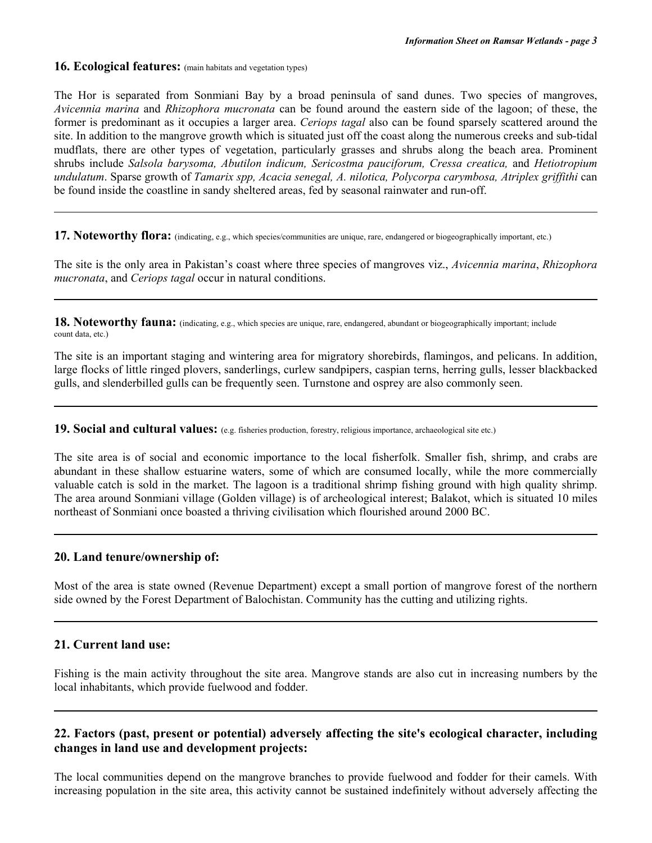**16. Ecological features:** (main habitats and vegetation types)

The Hor is separated from Sonmiani Bay by a broad peninsula of sand dunes. Two species of mangroves, *Avicennia marina* and *Rhizophora mucronata* can be found around the eastern side of the lagoon; of these, the former is predominant as it occupies a larger area. *Ceriops tagal* also can be found sparsely scattered around the site. In addition to the mangrove growth which is situated just off the coast along the numerous creeks and sub-tidal mudflats, there are other types of vegetation, particularly grasses and shrubs along the beach area. Prominent shrubs include *Salsola barysoma, Abutilon indicum, Sericostma pauciforum, Cressa creatica,* and *Hetiotropium undulatum*. Sparse growth of *Tamarix spp, Acacia senegal, A. nilotica, Polycorpa carymbosa, Atriplex griffithi* can be found inside the coastline in sandy sheltered areas, fed by seasonal rainwater and run-off.

**17. Noteworthy flora:** (indicating, e.g., which species/communities are unique, rare, endangered or biogeographically important, etc.)

The site is the only area in Pakistan's coast where three species of mangroves viz., *Avicennia marina*, *Rhizophora mucronata*, and *Ceriops tagal* occur in natural conditions.

**18. Noteworthy fauna:** (indicating, e.g., which species are unique, rare, endangered, abundant or biogeographically important; include count data, etc.)

The site is an important staging and wintering area for migratory shorebirds, flamingos, and pelicans. In addition, large flocks of little ringed plovers, sanderlings, curlew sandpipers, caspian terns, herring gulls, lesser blackbacked gulls, and slenderbilled gulls can be frequently seen. Turnstone and osprey are also commonly seen.

**19. Social and cultural values:** (e.g. fisheries production, forestry, religious importance, archaeological site etc.)

The site area is of social and economic importance to the local fisherfolk. Smaller fish, shrimp, and crabs are abundant in these shallow estuarine waters, some of which are consumed locally, while the more commercially valuable catch is sold in the market. The lagoon is a traditional shrimp fishing ground with high quality shrimp. The area around Sonmiani village (Golden village) is of archeological interest; Balakot, which is situated 10 miles northeast of Sonmiani once boasted a thriving civilisation which flourished around 2000 BC.

#### **20. Land tenure/ownership of:**

Most of the area is state owned (Revenue Department) except a small portion of mangrove forest of the northern side owned by the Forest Department of Balochistan. Community has the cutting and utilizing rights.

#### **21. Current land use:**

Fishing is the main activity throughout the site area. Mangrove stands are also cut in increasing numbers by the local inhabitants, which provide fuelwood and fodder.

### **22. Factors (past, present or potential) adversely affecting the site's ecological character, including changes in land use and development projects:**

The local communities depend on the mangrove branches to provide fuelwood and fodder for their camels. With increasing population in the site area, this activity cannot be sustained indefinitely without adversely affecting the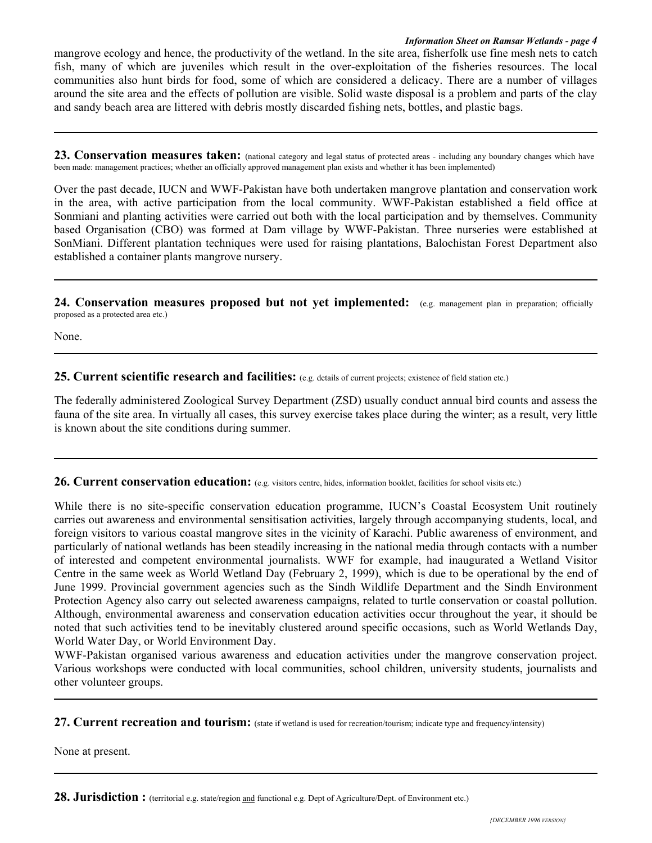#### *Information Sheet on Ramsar Wetlands - page 4*

mangrove ecology and hence, the productivity of the wetland. In the site area, fisherfolk use fine mesh nets to catch fish, many of which are juveniles which result in the over-exploitation of the fisheries resources. The local communities also hunt birds for food, some of which are considered a delicacy. There are a number of villages around the site area and the effects of pollution are visible. Solid waste disposal is a problem and parts of the clay and sandy beach area are littered with debris mostly discarded fishing nets, bottles, and plastic bags.

23. Conservation measures taken: (national category and legal status of protected areas - including any boundary changes which have been made: management practices; whether an officially approved management plan exists and whether it has been implemented)

Over the past decade, IUCN and WWF-Pakistan have both undertaken mangrove plantation and conservation work in the area, with active participation from the local community. WWF-Pakistan established a field office at Sonmiani and planting activities were carried out both with the local participation and by themselves. Community based Organisation (CBO) was formed at Dam village by WWF-Pakistan. Three nurseries were established at SonMiani. Different plantation techniques were used for raising plantations, Balochistan Forest Department also established a container plants mangrove nursery.

**24. Conservation measures proposed but not yet implemented:** (e.g. management plan in preparation; officially proposed as a protected area etc.)

None.

**25. Current scientific research and facilities:** (e.g. details of current projects; existence of field station etc.)

The federally administered Zoological Survey Department (ZSD) usually conduct annual bird counts and assess the fauna of the site area. In virtually all cases, this survey exercise takes place during the winter; as a result, very little is known about the site conditions during summer.

**26. Current conservation education:** (e.g. visitors centre, hides, information booklet, facilities for school visits etc.)

While there is no site-specific conservation education programme, IUCN's Coastal Ecosystem Unit routinely carries out awareness and environmental sensitisation activities, largely through accompanying students, local, and foreign visitors to various coastal mangrove sites in the vicinity of Karachi. Public awareness of environment, and particularly of national wetlands has been steadily increasing in the national media through contacts with a number of interested and competent environmental journalists. WWF for example, had inaugurated a Wetland Visitor Centre in the same week as World Wetland Day (February 2, 1999), which is due to be operational by the end of June 1999. Provincial government agencies such as the Sindh Wildlife Department and the Sindh Environment Protection Agency also carry out selected awareness campaigns, related to turtle conservation or coastal pollution. Although, environmental awareness and conservation education activities occur throughout the year, it should be noted that such activities tend to be inevitably clustered around specific occasions, such as World Wetlands Day, World Water Day, or World Environment Day.

WWF-Pakistan organised various awareness and education activities under the mangrove conservation project. Various workshops were conducted with local communities, school children, university students, journalists and other volunteer groups.

27. Current recreation and tourism: (state if wetland is used for recreation/tourism; indicate type and frequency/intensity)

None at present.

28. Jurisdiction: (territorial e.g. state/region and functional e.g. Dept of Agriculture/Dept. of Environment etc.)